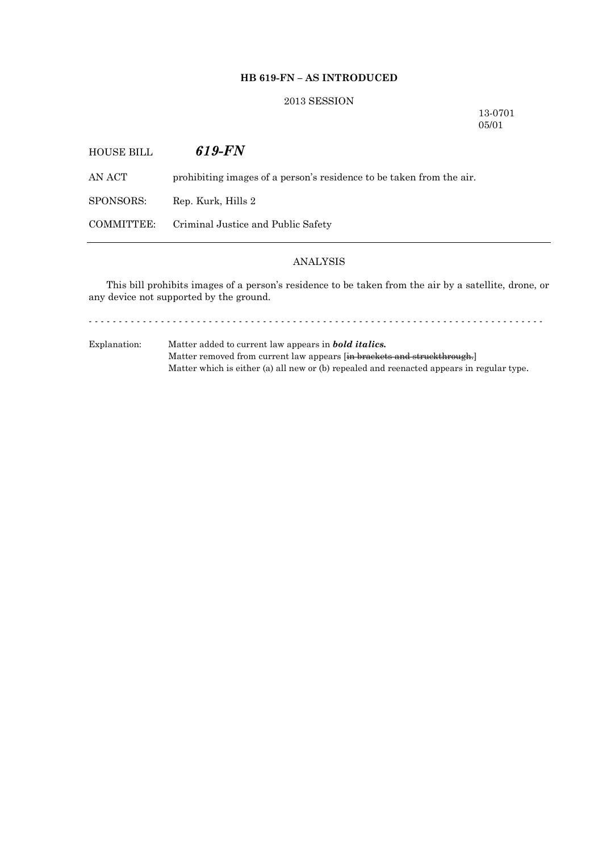## **HB 619-FN – AS INTRODUCED**

# 2013 SESSION

13-0701 05/01

| HOUSE BILL | 619-FN                                                               |
|------------|----------------------------------------------------------------------|
| AN ACT     | prohibiting images of a person's residence to be taken from the air. |
| SPONSORS:  | Rep. Kurk, Hills 2                                                   |
| COMMITTEE: | Criminal Justice and Public Safety                                   |
|            |                                                                      |

## ANALYSIS

This bill prohibits images of a person's residence to be taken from the air by a satellite, drone, or any device not supported by the ground.

- - - - - - - - - - - - - - - - - - - - - - - - - - - - - - - - - - - - - - - - - - - - - - - - - - - - - - - - - - - - - - - - - - - - - - - - - - - -

Explanation: Matter added to current law appears in *bold italics.* Matter removed from current law appears [in brackets and struckthrough.] Matter which is either (a) all new or (b) repealed and reenacted appears in regular type.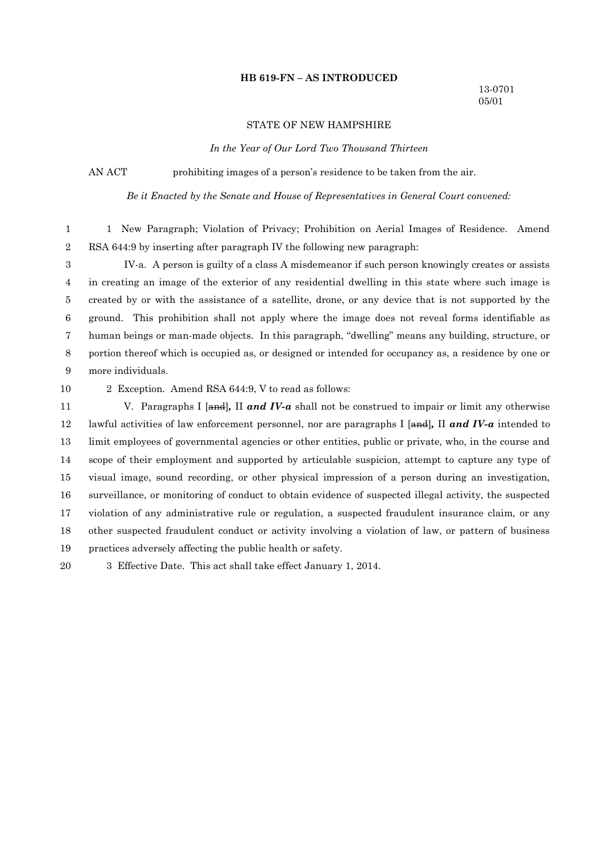### **HB 619-FN – AS INTRODUCED**

#### STATE OF NEW HAMPSHIRE

*In the Year of Our Lord Two Thousand Thirteen*

AN ACT prohibiting images of a person's residence to be taken from the air.

*Be it Enacted by the Senate and House of Representatives in General Court convened:*

1 New Paragraph; Violation of Privacy; Prohibition on Aerial Images of Residence. Amend1 RSA 644:9 by inserting after paragraph IV the following new paragraph:2

IV-a. A person is guilty of a class A misdemeanor if such person knowingly creates or assists3 in creating an image of the exterior of any residential dwelling in this state where such image is4 5 created by or with the assistance of a satellite, drone, or any device that is not supported by the ground. This prohibition shall not apply where the image does not reveal forms identifiable as6 human beings or man-made objects. In this paragraph, "dwelling" means any building, structure, or7 portion thereof which is occupied as, or designed or intended for occupancy as, a residence by one or8 9 more individuals.

10 2 Exception. Amend RSA 644:9, V to read as follows:

11 V. Paragraphs I [and], II *and IV-a* shall not be construed to impair or limit any otherwise lawful activities of law enforcement personnel, nor are paragraphs  $\iota$  [and*]*, II **and** IV-a intended to limit employees of governmental agencies or other entities, public or private, who, in the course and13 scope of their employment and supported by articulable suspicion, attempt to capture any type of14 visual image, sound recording, or other physical impression of a person during an investigation,15 16 surveillance, or monitoring of conduct to obtain evidence of suspected illegal activity, the suspected 17 violation of any administrative rule or regulation, a suspected fraudulent insurance claim, or any 18 other suspected fraudulent conduct or activity involving a violation of law, or pattern of business practices adversely affecting the public health or safety.19

20 3 Effective Date. This act shall take effect January 1, 2014.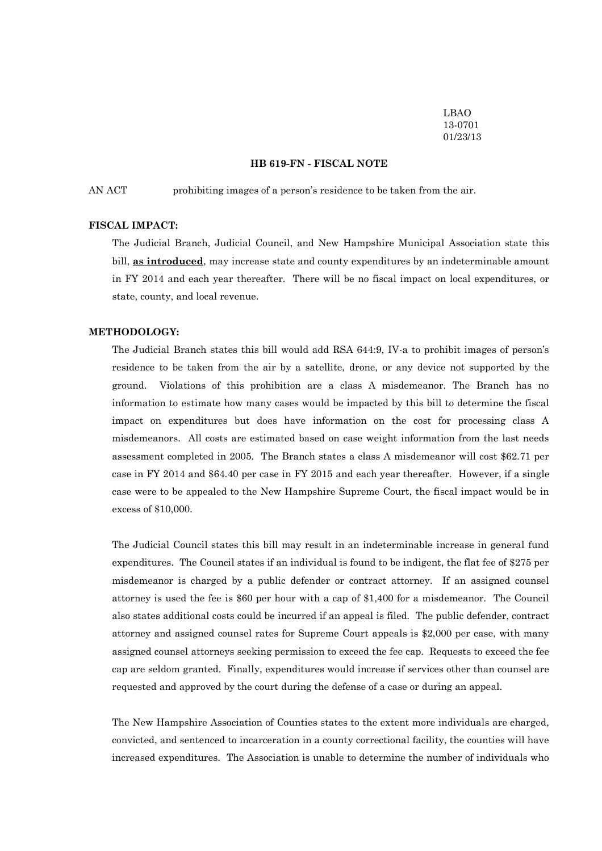LBAO 13-0701 01/23/13

## **HB 619-FN - FISCAL NOTE**

AN ACT prohibiting images of a person's residence to be taken from the air.

### **FISCAL IMPACT:**

The Judicial Branch, Judicial Council, and New Hampshire Municipal Association state this bill, **as introduced**, may increase state and county expenditures by an indeterminable amount in FY 2014 and each year thereafter. There will be no fiscal impact on local expenditures, or state, county, and local revenue.

### **METHODOLOGY:**

The Judicial Branch states this bill would add RSA 644:9, IV-a to prohibit images of person's residence to be taken from the air by a satellite, drone, or any device not supported by the ground. Violations of this prohibition are a class A misdemeanor. The Branch has no information to estimate how many cases would be impacted by this bill to determine the fiscal impact on expenditures but does have information on the cost for processing class A misdemeanors. All costs are estimated based on case weight information from the last needs assessment completed in 2005. The Branch states a class A misdemeanor will cost \$62.71 per case in FY 2014 and \$64.40 per case in FY 2015 and each year thereafter. However, if a single case were to be appealed to the New Hampshire Supreme Court, the fiscal impact would be in excess of \$10,000.

The Judicial Council states this bill may result in an indeterminable increase in general fund expenditures. The Council states if an individual is found to be indigent, the flat fee of \$275 per misdemeanor is charged by a public defender or contract attorney. If an assigned counsel attorney is used the fee is \$60 per hour with a cap of \$1,400 for a misdemeanor. The Council also states additional costs could be incurred if an appeal is filed. The public defender, contract attorney and assigned counsel rates for Supreme Court appeals is \$2,000 per case, with many assigned counsel attorneys seeking permission to exceed the fee cap. Requests to exceed the fee cap are seldom granted. Finally, expenditures would increase if services other than counsel are requested and approved by the court during the defense of a case or during an appeal.

The New Hampshire Association of Counties states to the extent more individuals are charged, convicted, and sentenced to incarceration in a county correctional facility, the counties will have increased expenditures. The Association is unable to determine the number of individuals who